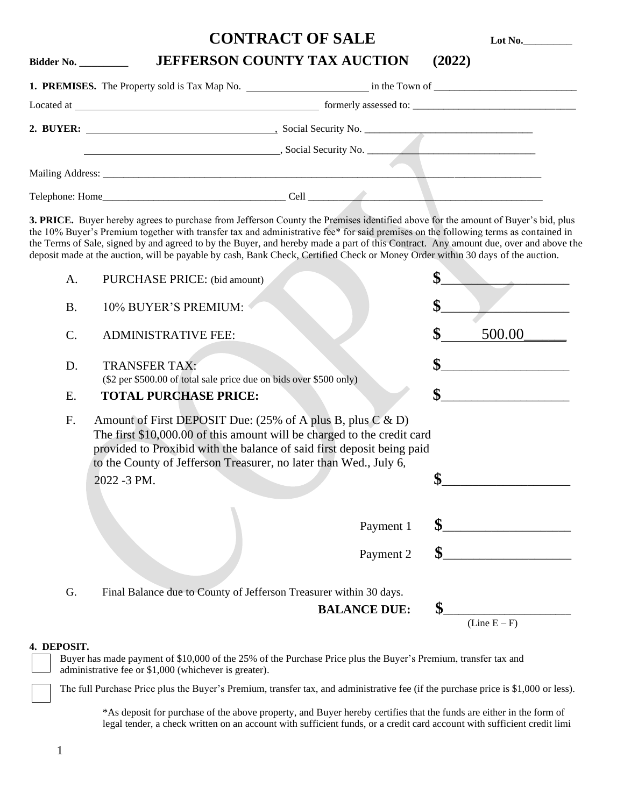## **CONTRACT OF SALE Lot No.**\_\_\_\_\_\_\_\_

## **Bidder No.** \_\_\_\_\_\_\_\_ **JEFFERSON COUNTY TAX AUCTION (2022)**

| formerly assessed to:                                                                                                                                                                                                          |  |  |  |
|--------------------------------------------------------------------------------------------------------------------------------------------------------------------------------------------------------------------------------|--|--|--|
| Social Security No.                                                                                                                                                                                                            |  |  |  |
|                                                                                                                                                                                                                                |  |  |  |
| Cell and the contract of the contract of the contract of the contract of the contract of the contract of the contract of the contract of the contract of the contract of the contract of the contract of the contract of the c |  |  |  |

**3. PRICE.** Buyer hereby agrees to purchase from Jefferson County the Premises identified above for the amount of Buyer's bid, plus the 10% Buyer's Premium together with transfer tax and administrative fee\* for said premises on the following terms as contained in the Terms of Sale, signed by and agreed to by the Buyer, and hereby made a part of this Contract. Any amount due, over and above the deposit made at the auction, will be payable by cash, Bank Check, Certified Check or Money Order within 30 days of the auction.

| \$<br><b>B.</b><br>10% BUYER'S PREMIUM:<br>\$<br>500.00<br>$\mathcal{C}$ .<br><b>ADMINISTRATIVE FEE:</b><br>\$<br><b>TRANSFER TAX:</b><br>D.<br>(\$2 per \$500.00 of total sale price due on bids over \$500 only)<br>\$<br><b>TOTAL PURCHASE PRICE:</b><br>Ε.<br>F.<br>Amount of First DEPOSIT Due: $(25\% \text{ of A plus B, plus C & D)}$<br>The first \$10,000.00 of this amount will be charged to the credit card<br>provided to Proxibid with the balance of said first deposit being paid<br>to the County of Jefferson Treasurer, no later than Wed., July 6,<br>\$<br>2022 -3 PM.<br>\$<br>Payment 1<br>\$<br>Payment 2<br>Final Balance due to County of Jefferson Treasurer within 30 days.<br>G.<br>\$<br><b>BALANCE DUE:</b> | A. | PURCHASE PRICE: (bid amount) | \$             |
|---------------------------------------------------------------------------------------------------------------------------------------------------------------------------------------------------------------------------------------------------------------------------------------------------------------------------------------------------------------------------------------------------------------------------------------------------------------------------------------------------------------------------------------------------------------------------------------------------------------------------------------------------------------------------------------------------------------------------------------------|----|------------------------------|----------------|
|                                                                                                                                                                                                                                                                                                                                                                                                                                                                                                                                                                                                                                                                                                                                             |    |                              |                |
|                                                                                                                                                                                                                                                                                                                                                                                                                                                                                                                                                                                                                                                                                                                                             |    |                              |                |
|                                                                                                                                                                                                                                                                                                                                                                                                                                                                                                                                                                                                                                                                                                                                             |    |                              |                |
|                                                                                                                                                                                                                                                                                                                                                                                                                                                                                                                                                                                                                                                                                                                                             |    |                              |                |
|                                                                                                                                                                                                                                                                                                                                                                                                                                                                                                                                                                                                                                                                                                                                             |    |                              |                |
|                                                                                                                                                                                                                                                                                                                                                                                                                                                                                                                                                                                                                                                                                                                                             |    |                              |                |
|                                                                                                                                                                                                                                                                                                                                                                                                                                                                                                                                                                                                                                                                                                                                             |    |                              |                |
|                                                                                                                                                                                                                                                                                                                                                                                                                                                                                                                                                                                                                                                                                                                                             |    |                              |                |
|                                                                                                                                                                                                                                                                                                                                                                                                                                                                                                                                                                                                                                                                                                                                             |    |                              | $(Line E - F)$ |

## **4. DEPOSIT.**

 Buyer has made payment of \$10,000 of the 25% of the Purchase Price plus the Buyer's Premium, transfer tax and administrative fee or \$1,000 (whichever is greater).

The full Purchase Price plus the Buyer's Premium, transfer tax, and administrative fee (if the purchase price is \$1,000 or less).

\*As deposit for purchase of the above property, and Buyer hereby certifies that the funds are either in the form of legal tender, a check written on an account with sufficient funds, or a credit card account with sufficient credit limi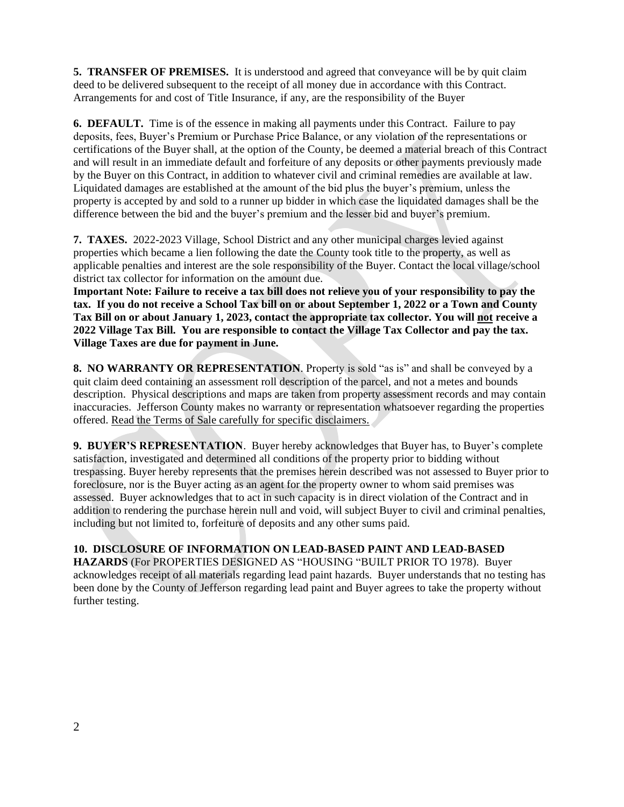**5. TRANSFER OF PREMISES.** It is understood and agreed that conveyance will be by quit claim deed to be delivered subsequent to the receipt of all money due in accordance with this Contract. Arrangements for and cost of Title Insurance, if any, are the responsibility of the Buyer

**6. DEFAULT.** Time is of the essence in making all payments under this Contract. Failure to pay deposits, fees, Buyer's Premium or Purchase Price Balance, or any violation of the representations or certifications of the Buyer shall, at the option of the County, be deemed a material breach of this Contract and will result in an immediate default and forfeiture of any deposits or other payments previously made by the Buyer on this Contract, in addition to whatever civil and criminal remedies are available at law. Liquidated damages are established at the amount of the bid plus the buyer's premium, unless the property is accepted by and sold to a runner up bidder in which case the liquidated damages shall be the difference between the bid and the buyer's premium and the lesser bid and buyer's premium.

**7. TAXES.** 2022-2023 Village, School District and any other municipal charges levied against properties which became a lien following the date the County took title to the property, as well as applicable penalties and interest are the sole responsibility of the Buyer. Contact the local village/school district tax collector for information on the amount due.

**Important Note: Failure to receive a tax bill does not relieve you of your responsibility to pay the tax. If you do not receive a School Tax bill on or about September 1, 2022 or a Town and County Tax Bill on or about January 1, 2023, contact the appropriate tax collector. You will not receive a 2022 Village Tax Bill. You are responsible to contact the Village Tax Collector and pay the tax. Village Taxes are due for payment in June.**

**8. NO WARRANTY OR REPRESENTATION**. Property is sold "as is" and shall be conveyed by a quit claim deed containing an assessment roll description of the parcel, and not a metes and bounds description. Physical descriptions and maps are taken from property assessment records and may contain inaccuracies. Jefferson County makes no warranty or representation whatsoever regarding the properties offered. Read the Terms of Sale carefully for specific disclaimers.

**9. BUYER'S REPRESENTATION**. Buyer hereby acknowledges that Buyer has, to Buyer's complete satisfaction, investigated and determined all conditions of the property prior to bidding without trespassing. Buyer hereby represents that the premises herein described was not assessed to Buyer prior to foreclosure, nor is the Buyer acting as an agent for the property owner to whom said premises was assessed. Buyer acknowledges that to act in such capacity is in direct violation of the Contract and in addition to rendering the purchase herein null and void, will subject Buyer to civil and criminal penalties, including but not limited to, forfeiture of deposits and any other sums paid.

## **10. DISCLOSURE OF INFORMATION ON LEAD-BASED PAINT AND LEAD-BASED**

**HAZARDS** (For PROPERTIES DESIGNED AS "HOUSING "BUILT PRIOR TO 1978). Buyer acknowledges receipt of all materials regarding lead paint hazards. Buyer understands that no testing has been done by the County of Jefferson regarding lead paint and Buyer agrees to take the property without further testing.